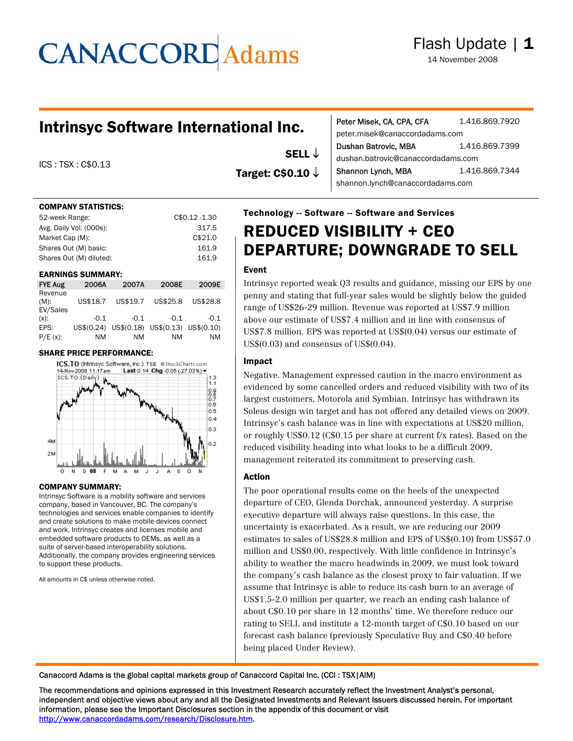# **CANACCORD** Adams

### Intrinsyc Software International Inc.

ICS : TSX : C\$0.13

#### COMPANY STATISTICS:

| 52-week Range:          | C\$0.12-1.30 |
|-------------------------|--------------|
| Avg. Daily Vol. (000s): | 317.5        |
| Market Cap (M):         | C\$21.0      |
| Shares Out (M) basic:   | 161.9        |
| Shares Out (M) diluted: | 161.9        |

#### EARNINGS SUMMARY:

| <b>FYE Aug</b>                 | 2006A      | 2007A    | 2008E                            | 2009E    |
|--------------------------------|------------|----------|----------------------------------|----------|
| Revenue<br>$(M)$ :<br>EV/Sales | US\$18.7   | US\$19.7 | US\$25.8                         | US\$28.8 |
| $(x)$ :                        | $-0.1$     | $-0.1$   | $-0.1$                           | $-0.1$   |
| EPS:                           | US\$(0.24) |          | US\$(0.18) US\$(0.13) US\$(0.10) |          |
| $P/E(x)$ :                     | ΝM         | ΝM       | NM                               | NM       |

#### SHARE PRICE PERFORMANCE:



#### COMPANY SUMMARY:

Intrinsyc Software is a mobility software and services company, based in Vancouver, BC. The company's technologies and services enable companies to identify and create solutions to make mobile devices connect and work. Intrinsyc creates and licenses mobile and embedded software products to OEMs, as well as a suite of server-based interoperability solutions. Additionally, the company provides engineering services to support these products.

All amounts in C\$ unless otherwise noted.

| Target: $C$0.10 \downarrow$ | Shannon Lynch, MBA<br>shannon.lynch@canaccordadams.com | 1.416.869.7344 |
|-----------------------------|--------------------------------------------------------|----------------|
|                             | <b>Technology -- Software -- Software and Services</b> |                |

peter.misek@canaccordadams.com

dushan.batrovic@canaccordadams.com

Peter Misek, CA, CPA, CFA 1.416.869.7920

Dushan Batrovic, MBA 1.416.869.7399

# REDUCED VISIBILITY + CEO DEPARTURE; DOWNGRADE TO SELL

#### Event

SELL ↓

Intrinsyc reported weak Q3 results and guidance, missing our EPS by one penny and stating that full-year sales would be slightly below the guided range of US\$26-29 million. Revenue was reported at US\$7.9 million above our estimate of US\$7.4 million and in line with consensus of US\$7.8 million. EPS was reported at US\$(0.04) versus our estimate of US\$(0.03) and consensus of US\$(0.04).

#### Impact

Negative. Management expressed caution in the macro environment as evidenced by some cancelled orders and reduced visibility with two of its largest customers, Motorola and Symbian. Intrinsyc has withdrawn its Soleus design win target and has not offered any detailed views on 2009. Intrinsyc's cash balance was in line with expectations at US\$20 million, or roughly US\$0.12 (C\$0.15 per share at current f/x rates). Based on the reduced visibility heading into what looks to be a difficult 2009, management reiterated its commitment to preserving cash.

#### Action

The poor operational results come on the heels of the unexpected departure of CEO, Glenda Dorchak, announced yesterday. A surprise executive departure will always raise questions. In this case, the uncertainty is exacerbated. As a result, we are reducing our 2009 estimates to sales of US\$28.8 million and EPS of US\$(0.10) from US\$57.0 million and US\$0.00, respectively. With little confidence in Intrinsyc's ability to weather the macro headwinds in 2009, we must look toward the company's cash balance as the closest proxy to fair valuation. If we assume that Intrinsyc is able to reduce its cash burn to an average of US\$1.5-2.0 million per quarter, we reach an ending cash balance of about C\$0.10 per share in 12 months' time. We therefore reduce our rating to SELL and institute a 12-month target of C\$0.10 based on our forecast cash balance (previously Speculative Buy and C\$0.40 before being placed Under Review).

Canaccord Adams is the global capital markets group of Canaccord Capital Inc. (CCI : TSX|AIM)

The recommendations and opinions expressed in this Investment Research accurately reflect the Investment Analyst's personal, independent and objective views about any and all the Designated Investments and Relevant Issuers discussed herein. For important information, please see the Important Disclosures section in the appendix of this document or visit http://www.canaccordadams.com/research/Disclosure.htm.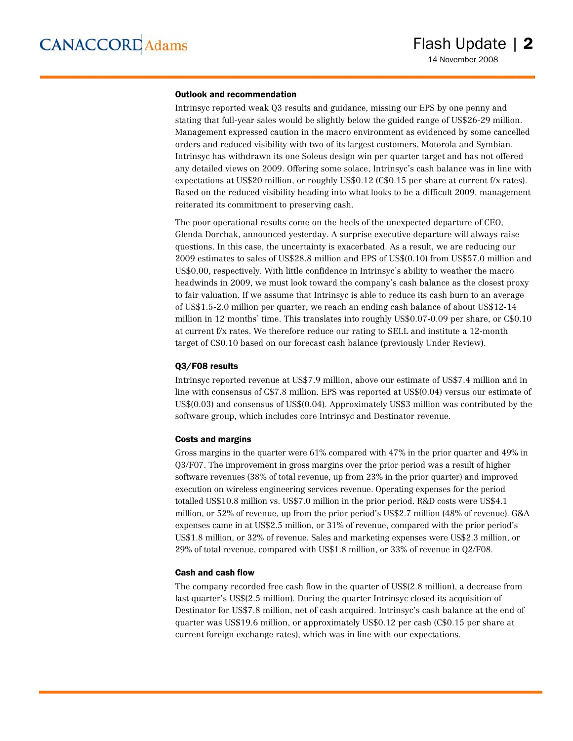#### Outlook and recommendation

Intrinsyc reported weak Q3 results and guidance, missing our EPS by one penny and stating that full-year sales would be slightly below the guided range of US\$26-29 million. Management expressed caution in the macro environment as evidenced by some cancelled orders and reduced visibility with two of its largest customers, Motorola and Symbian. Intrinsyc has withdrawn its one Soleus design win per quarter target and has not offered any detailed views on 2009. Offering some solace, Intrinsyc's cash balance was in line with expectations at US\$20 million, or roughly US\$0.12 (C\$0.15 per share at current f/x rates). Based on the reduced visibility heading into what looks to be a difficult 2009, management reiterated its commitment to preserving cash.

The poor operational results come on the heels of the unexpected departure of CEO, Glenda Dorchak, announced yesterday. A surprise executive departure will always raise questions. In this case, the uncertainty is exacerbated. As a result, we are reducing our 2009 estimates to sales of US\$28.8 million and EPS of US\$(0.10) from US\$57.0 million and US\$0.00, respectively. With little confidence in Intrinsyc's ability to weather the macro headwinds in 2009, we must look toward the company's cash balance as the closest proxy to fair valuation. If we assume that Intrinsyc is able to reduce its cash burn to an average of US\$1.5-2.0 million per quarter, we reach an ending cash balance of about US\$12-14 million in 12 months' time. This translates into roughly US\$0.07-0.09 per share, or C\$0.10 at current f/x rates. We therefore reduce our rating to SELL and institute a 12-month target of C\$0.10 based on our forecast cash balance (previously Under Review).

#### Q3/F08 results

Intrinsyc reported revenue at US\$7.9 million, above our estimate of US\$7.4 million and in line with consensus of C\$7.8 million. EPS was reported at US\$(0.04) versus our estimate of US\$(0.03) and consensus of US\$(0.04). Approximately US\$3 million was contributed by the software group, which includes core Intrinsyc and Destinator revenue.

#### Costs and margins

Gross margins in the quarter were 61% compared with 47% in the prior quarter and 49% in Q3/F07. The improvement in gross margins over the prior period was a result of higher software revenues (38% of total revenue, up from 23% in the prior quarter) and improved execution on wireless engineering services revenue. Operating expenses for the period totalled US\$10.8 million vs. US\$7.0 million in the prior period. R&D costs were US\$4.1 million, or 52% of revenue, up from the prior period's US\$2.7 million (48% of revenue). G&A expenses came in at US\$2.5 million, or 31% of revenue, compared with the prior period's US\$1.8 million, or 32% of revenue. Sales and marketing expenses were US\$2.3 million, or 29% of total revenue, compared with US\$1.8 million, or 33% of revenue in Q2/F08.

#### Cash and cash flow

The company recorded free cash flow in the quarter of US\$(2.8 million), a decrease from last quarter's US\$(2.5 million). During the quarter Intrinsyc closed its acquisition of Destinator for US\$7.8 million, net of cash acquired. Intrinsyc's cash balance at the end of quarter was US\$19.6 million, or approximately US\$0.12 per cash (C\$0.15 per share at current foreign exchange rates), which was in line with our expectations.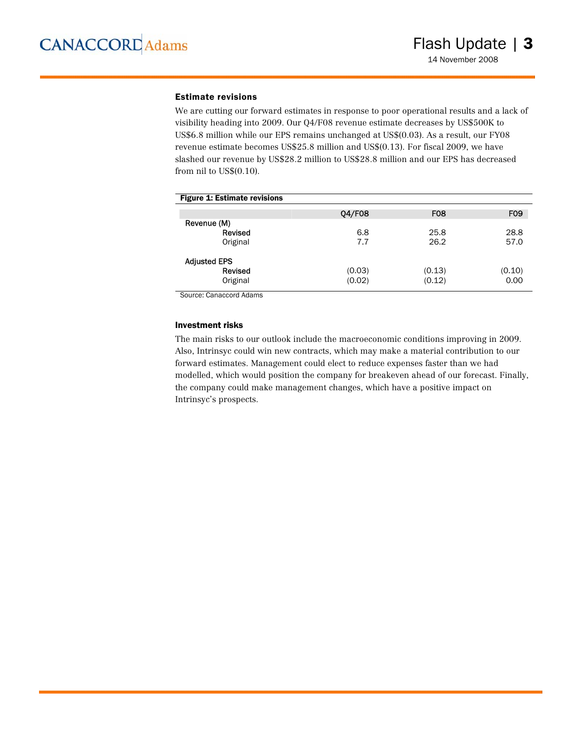#### Estimate revisions

We are cutting our forward estimates in response to poor operational results and a lack of visibility heading into 2009. Our Q4/F08 revenue estimate decreases by US\$500K to US\$6.8 million while our EPS remains unchanged at US\$(0.03). As a result, our FY08 revenue estimate becomes US\$25.8 million and US\$(0.13). For fiscal 2009, we have slashed our revenue by US\$28.2 million to US\$28.8 million and our EPS has decreased from nil to US\$(0.10).

| <b>Figure 1: Estimate revisions</b> |        |            |                 |
|-------------------------------------|--------|------------|-----------------|
|                                     | 04/F08 | <b>F08</b> | F <sub>09</sub> |
| Revenue (M)                         |        |            |                 |
| Revised                             | 6.8    | 25.8       | 28.8            |
| Original                            | 7.7    | 26.2       | 57.0            |
| <b>Adjusted EPS</b>                 |        |            |                 |
| Revised                             | (0.03) | (0.13)     | (0.10)          |
| Original                            | (0.02) | (0.12)     | 0.00            |

Source: Canaccord Adams

#### Investment risks

The main risks to our outlook include the macroeconomic conditions improving in 2009. Also, Intrinsyc could win new contracts, which may make a material contribution to our forward estimates. Management could elect to reduce expenses faster than we had modelled, which would position the company for breakeven ahead of our forecast. Finally, the company could make management changes, which have a positive impact on Intrinsyc's prospects.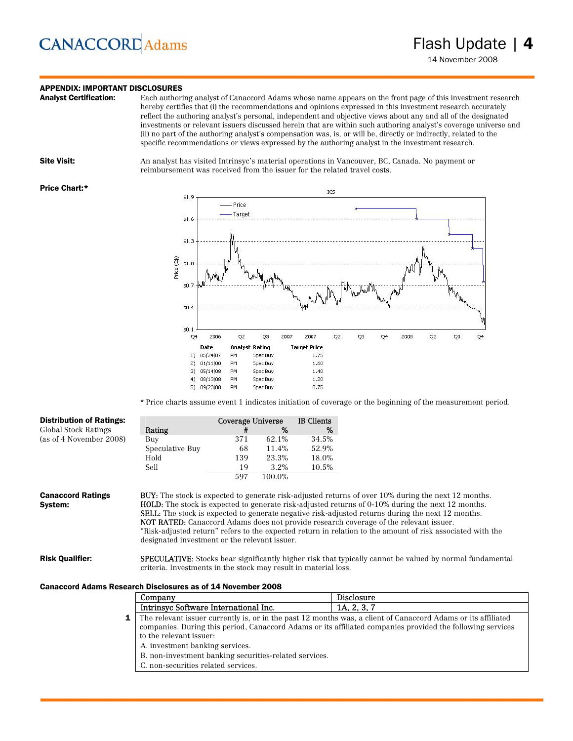### **CANACCORD** Adams

### **APPENDIX: IMPORTANT DISCLOSURES**<br>**Analyst Certification:** Each authori

Each authoring analyst of Canaccord Adams whose name appears on the front page of this investment research hereby certifies that (i) the recommendations and opinions expressed in this investment research accurately reflect the authoring analyst's personal, independent and objective views about any and all of the designated investments or relevant issuers discussed herein that are within such authoring analyst's coverage universe and (ii) no part of the authoring analyst's compensation was, is, or will be, directly or indirectly, related to the specific recommendations or views expressed by the authoring analyst in the investment research.



Site Visit: An analyst has visited Intrinsyc's material operations in Vancouver, BC, Canada. No payment or reimbursement was received from the issuer for the related travel costs.

#### Price Chart:\*



\* Price charts assume event 1 indicates initiation of coverage or the beginning of the measurement period.

| <b>Distribution of Ratings:</b>                                    |                                                                                                                                                                                                                                                                                                                                                                                                                                                                                     | Coverage Universe |        | <b>IB</b> Clients |
|--------------------------------------------------------------------|-------------------------------------------------------------------------------------------------------------------------------------------------------------------------------------------------------------------------------------------------------------------------------------------------------------------------------------------------------------------------------------------------------------------------------------------------------------------------------------|-------------------|--------|-------------------|
| Global Stock Ratings                                               | Rating                                                                                                                                                                                                                                                                                                                                                                                                                                                                              | #                 | %      | %                 |
| (as of 4 November 2008)                                            | Buy                                                                                                                                                                                                                                                                                                                                                                                                                                                                                 | 371               | 62.1%  | 34.5%             |
|                                                                    | Speculative Buy                                                                                                                                                                                                                                                                                                                                                                                                                                                                     | 68                | 11.4%  | 52.9%             |
|                                                                    | Hold                                                                                                                                                                                                                                                                                                                                                                                                                                                                                | 139               | 23.3%  | 18.0%             |
|                                                                    | Sell                                                                                                                                                                                                                                                                                                                                                                                                                                                                                | 19                | 3.2%   | 10.5%             |
|                                                                    |                                                                                                                                                                                                                                                                                                                                                                                                                                                                                     | 597               | 100.0% |                   |
| System:                                                            | <b>HOLD:</b> The stock is expected to generate risk-adjusted returns of 0-10% during the next 12 months.<br><b>SELL:</b> The stock is expected to generate negative risk-adjusted returns during the next 12 months.<br><b>NOT RATED:</b> Canaccord Adams does not provide research coverage of the relevant issuer.<br>"Risk-adjusted return" refers to the expected return in relation to the amount of risk associated with the<br>designated investment or the relevant issuer. |                   |        |                   |
| <b>Risk Qualifier:</b>                                             | <b>SPECULATIVE:</b> Stocks bear significantly higher risk that typically cannot be valued by normal fundamental<br>criteria. Investments in the stock may result in material loss.                                                                                                                                                                                                                                                                                                  |                   |        |                   |
| <b>Canaccord Adams Research Disclosures as of 14 November 2008</b> |                                                                                                                                                                                                                                                                                                                                                                                                                                                                                     |                   |        |                   |

| Company                                                                                                                                                                                                                                                         | Disclosure  |  |  |
|-----------------------------------------------------------------------------------------------------------------------------------------------------------------------------------------------------------------------------------------------------------------|-------------|--|--|
| Intrinsyc Software International Inc.                                                                                                                                                                                                                           | 1A, 2, 3, 7 |  |  |
| <b>1</b> The relevant issuer currently is, or in the past 12 months was, a client of Canaccord Adams or its affiliated<br>companies. During this period, Canaccord Adams or its affiliated companies provided the following services<br>to the relevant issuer: |             |  |  |
| A. investment banking services.                                                                                                                                                                                                                                 |             |  |  |
| B. non-investment banking securities-related services.                                                                                                                                                                                                          |             |  |  |
| C. non-securities related services.                                                                                                                                                                                                                             |             |  |  |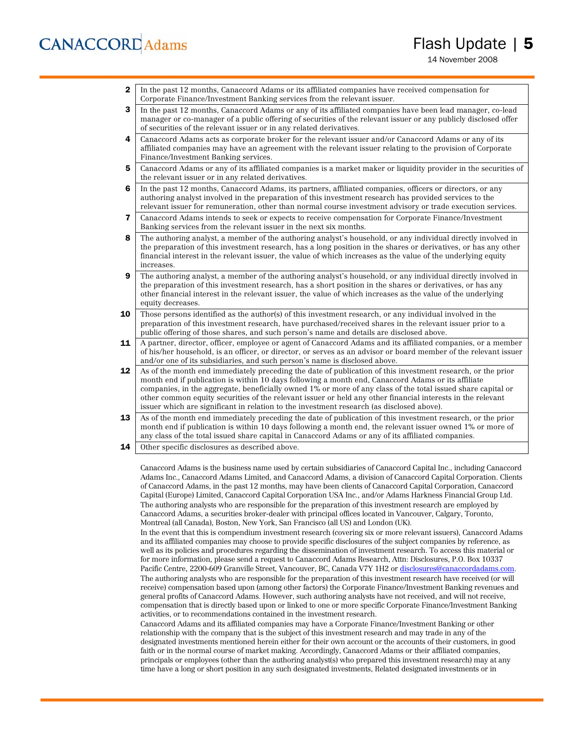## **CANACCORD** Adams

**2** In the past 12 months, Canaccord Adams or its affiliated companies have received compensation for Corporate Finance/Investment Banking services from the relevant issuer.

3 In the past 12 months, Canaccord Adams or any of its affiliated companies have been lead manager, co-lead manager or co-manager of a public offering of securities of the relevant issuer or any publicly disclosed offer of securities of the relevant issuer or in any related derivatives.

- 4 Canaccord Adams acts as corporate broker for the relevant issuer and/or Canaccord Adams or any of its affiliated companies may have an agreement with the relevant issuer relating to the provision of Corporate Finance/Investment Banking services.
- 5 Canaccord Adams or any of its affiliated companies is a market maker or liquidity provider in the securities of the relevant issuer or in any related derivatives.
- 6 In the past 12 months, Canaccord Adams, its partners, affiliated companies, officers or directors, or any authoring analyst involved in the preparation of this investment research has provided services to the relevant issuer for remuneration, other than normal course investment advisory or trade execution services.
- 7 Canaccord Adams intends to seek or expects to receive compensation for Corporate Finance/Investment Banking services from the relevant issuer in the next six months.
- 8 The authoring analyst, a member of the authoring analyst's household, or any individual directly involved in the preparation of this investment research, has a long position in the shares or derivatives, or has any other financial interest in the relevant issuer, the value of which increases as the value of the underlying equity increases.
- 9 The authoring analyst, a member of the authoring analyst's household, or any individual directly involved in the preparation of this investment research, has a short position in the shares or derivatives, or has any other financial interest in the relevant issuer, the value of which increases as the value of the underlying equity decreases.
- **10** Those persons identified as the author(s) of this investment research, or any individual involved in the preparation of this investment research, have purchased/received shares in the relevant issuer prior to a public offering of those shares, and such person's name and details are disclosed above.
- 11 A partner, director, officer, employee or agent of Canaccord Adams and its affiliated companies, or a member of his/her household, is an officer, or director, or serves as an advisor or board member of the relevant issuer and/or one of its subsidiaries, and such person's name is disclosed above.
- 12 As of the month end immediately preceding the date of publication of this investment research, or the prior month end if publication is within 10 days following a month end, Canaccord Adams or its affiliate companies, in the aggregate, beneficially owned 1% or more of any class of the total issued share capital or other common equity securities of the relevant issuer or held any other financial interests in the relevant issuer which are significant in relation to the investment research (as disclosed above).
- 13 As of the month end immediately preceding the date of publication of this investment research, or the prior month end if publication is within 10 days following a month end, the relevant issuer owned 1% or more of any class of the total issued share capital in Canaccord Adams or any of its affiliated companies.
- **14** Other specific disclosures as described above.

Canaccord Adams is the business name used by certain subsidiaries of Canaccord Capital Inc., including Canaccord Adams Inc., Canaccord Adams Limited, and Canaccord Adams, a division of Canaccord Capital Corporation. Clients of Canaccord Adams, in the past 12 months, may have been clients of Canaccord Capital Corporation, Canaccord Capital (Europe) Limited, Canaccord Capital Corporation USA Inc., and/or Adams Harkness Financial Group Ltd. The authoring analysts who are responsible for the preparation of this investment research are employed by Canaccord Adams, a securities broker-dealer with principal offices located in Vancouver, Calgary, Toronto, Montreal (all Canada), Boston, New York, San Francisco (all US) and London (UK).

In the event that this is compendium investment research (covering six or more relevant issuers), Canaccord Adams and its affiliated companies may choose to provide specific disclosures of the subject companies by reference, as well as its policies and procedures regarding the dissemination of investment research. To access this material or for more information, please send a request to Canaccord Adams Research, Attn: Disclosures, P.O. Box 10337 Pacific Centre, 2200-609 Granville Street, Vancouver, BC, Canada V7Y 1H2 or disclosures@canaccordadams.com. The authoring analysts who are responsible for the preparation of this investment research have received (or will receive) compensation based upon (among other factors) the Corporate Finance/Investment Banking revenues and general profits of Canaccord Adams. However, such authoring analysts have not received, and will not receive, compensation that is directly based upon or linked to one or more specific Corporate Finance/Investment Banking activities, or to recommendations contained in the investment research.

Canaccord Adams and its affiliated companies may have a Corporate Finance/Investment Banking or other relationship with the company that is the subject of this investment research and may trade in any of the designated investments mentioned herein either for their own account or the accounts of their customers, in good faith or in the normal course of market making. Accordingly, Canaccord Adams or their affiliated companies, principals or employees (other than the authoring analyst(s) who prepared this investment research) may at any time have a long or short position in any such designated investments, Related designated investments or in